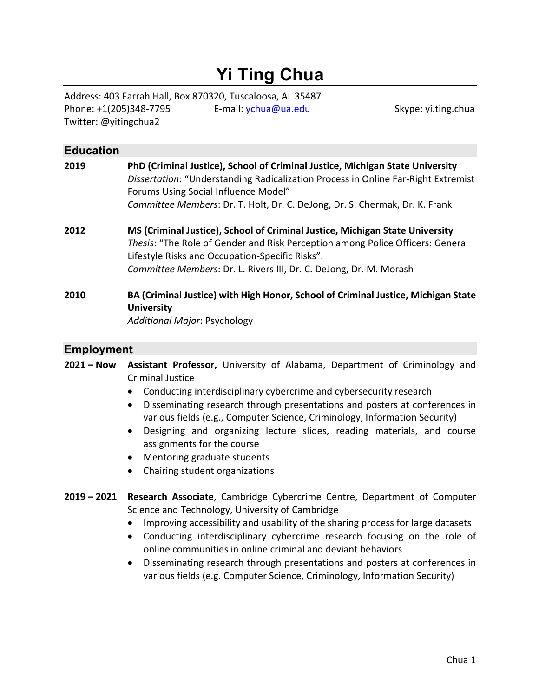# **Yi Ting Chua**

Address: 403 Farrah Hall, Box 870320, Tuscaloosa, AL 35487 Phone: +1(205)348-7795 E-mail: ychua@ua.edu Skype: yi.ting.chua Twitter: @yitingchua2

# **Education 2019 PhD (Criminal Justice), School of Criminal Justice, Michigan State University**  *Dissertation*: "Understanding Radicalization Process in Online Far-Right Extremist Forums Using Social Influence Model" *Committee Members*: Dr. T. Holt, Dr. C. DeJong, Dr. S. Chermak, Dr. K. Frank **2012 MS (Criminal Justice), School of Criminal Justice, Michigan State University** *Thesis*: "The Role of Gender and Risk Perception among Police Officers: General Lifestyle Risks and Occupation-Specific Risks". *Committee Members*: Dr. L. Rivers III, Dr. C. DeJong, Dr. M. Morash **2010 BA (Criminal Justice) with High Honor, School of Criminal Justice, Michigan State University** *Additional Major*: Psychology

#### **Employment**

**2021 – Now Assistant Professor,** University of Alabama, Department of Criminology and Criminal Justice

- Conducting interdisciplinary cybercrime and cybersecurity research
- Disseminating research through presentations and posters at conferences in various fields (e.g., Computer Science, Criminology, Information Security)
- Designing and organizing lecture slides, reading materials, and course assignments for the course
- Mentoring graduate students
- Chairing student organizations
- **2019 – 2021 Research Associate**, Cambridge Cybercrime Centre, Department of Computer Science and Technology, University of Cambridge
	- Improving accessibility and usability of the sharing process for large datasets
	- Conducting interdisciplinary cybercrime research focusing on the role of online communities in online criminal and deviant behaviors
	- Disseminating research through presentations and posters at conferences in various fields (e.g. Computer Science, Criminology, Information Security)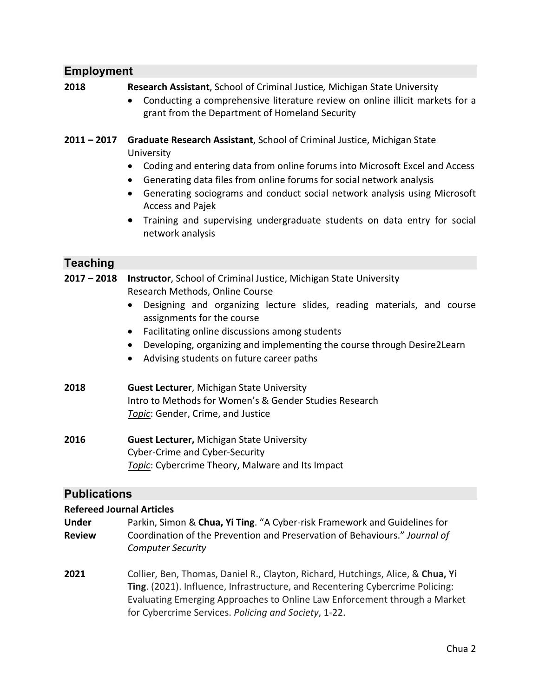#### **Employment**

#### **2018 Research Assistant**, School of Criminal Justice*,* Michigan State University

- Conducting a comprehensive literature review on online illicit markets for a grant from the Department of Homeland Security
- **2011 – 2017 Graduate Research Assistant**, School of Criminal Justice, Michigan State University
	- Coding and entering data from online forums into Microsoft Excel and Access
	- Generating data files from online forums for social network analysis
	- Generating sociograms and conduct social network analysis using Microsoft Access and Pajek
	- Training and supervising undergraduate students on data entry for social network analysis

#### **Teaching**

**2017 – 2018 Instructor**, School of Criminal Justice, Michigan State University Research Methods, Online Course

- Designing and organizing lecture slides, reading materials, and course assignments for the course
- Facilitating online discussions among students
- Developing, organizing and implementing the course through Desire2Learn
- Advising students on future career paths
- **2018 Guest Lecturer**, Michigan State University Intro to Methods for Women's & Gender Studies Research *Topic*: Gender, Crime, and Justice
- **2016 Guest Lecturer,** Michigan State University Cyber-Crime and Cyber-Security *Topic*: Cybercrime Theory, Malware and Its Impact

#### **Publications**

#### **Refereed Journal Articles**

- **Under** Parkin, Simon & **Chua, Yi Ting**. "A Cyber-risk Framework and Guidelines for **Review** Coordination of the Prevention and Preservation of Behaviours." *Journal of Computer Security*
- **2021** Collier, Ben, Thomas, Daniel R., Clayton, Richard, Hutchings, Alice, & **Chua, Yi Ting**. (2021). Influence, Infrastructure, and Recentering Cybercrime Policing: Evaluating Emerging Approaches to Online Law Enforcement through a Market for Cybercrime Services. *Policing and Society*, 1-22.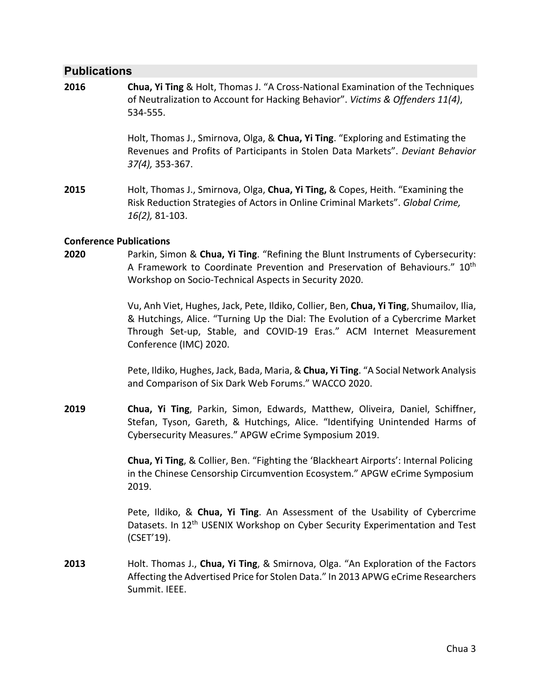#### **Publications**

**2016 Chua, Yi Ting** & Holt, Thomas J. "A Cross-National Examination of the Techniques of Neutralization to Account for Hacking Behavior". *Victims & Offenders 11(4)*, 534-555.

> Holt, Thomas J., Smirnova, Olga, & **Chua, Yi Ting**. "Exploring and Estimating the Revenues and Profits of Participants in Stolen Data Markets". *Deviant Behavior 37(4),* 353-367.

**2015** Holt, Thomas J., Smirnova, Olga, **Chua, Yi Ting,** & Copes, Heith. "Examining the Risk Reduction Strategies of Actors in Online Criminal Markets". *Global Crime, 16(2),* 81-103.

#### **Conference Publications**

**2020** Parkin, Simon & **Chua, Yi Ting**. "Refining the Blunt Instruments of Cybersecurity: A Framework to Coordinate Prevention and Preservation of Behaviours." 10<sup>th</sup> Workshop on Socio-Technical Aspects in Security 2020.

> Vu, Anh Viet, Hughes, Jack, Pete, Ildiko, Collier, Ben, **Chua, Yi Ting**, Shumailov, Ilia, & Hutchings, Alice. "Turning Up the Dial: The Evolution of a Cybercrime Market Through Set-up, Stable, and COVID-19 Eras." ACM Internet Measurement Conference (IMC) 2020.

> Pete, Ildiko, Hughes, Jack, Bada, Maria, & **Chua, Yi Ting**. "A Social Network Analysis and Comparison of Six Dark Web Forums." WACCO 2020.

**2019 Chua, Yi Ting**, Parkin, Simon, Edwards, Matthew, Oliveira, Daniel, Schiffner, Stefan, Tyson, Gareth, & Hutchings, Alice. "Identifying Unintended Harms of Cybersecurity Measures." APGW eCrime Symposium 2019.

> **Chua, Yi Ting**, & Collier, Ben. "Fighting the 'Blackheart Airports': Internal Policing in the Chinese Censorship Circumvention Ecosystem." APGW eCrime Symposium 2019.

> Pete, Ildiko, & **Chua, Yi Ting**. An Assessment of the Usability of Cybercrime Datasets. In 12<sup>th</sup> USENIX Workshop on Cyber Security Experimentation and Test (CSET'19).

**2013** Holt. Thomas J., **Chua, Yi Ting**, & Smirnova, Olga. "An Exploration of the Factors Affecting the Advertised Price for Stolen Data." In 2013 APWG eCrime Researchers Summit. IEEE.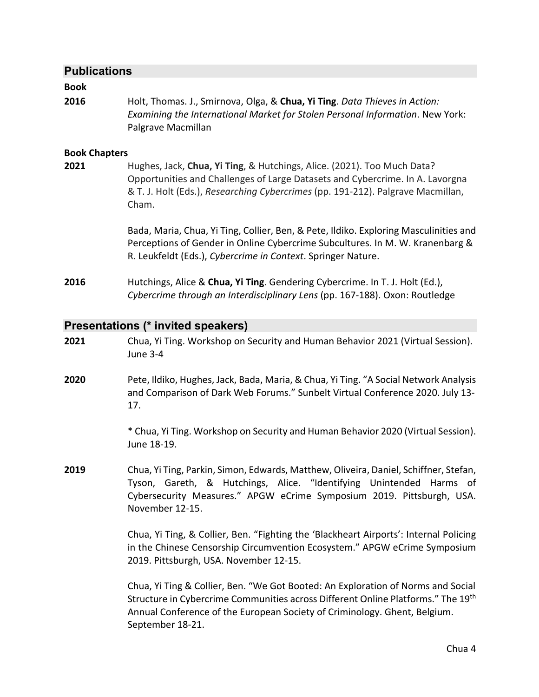#### **Publications**

#### **Book**

**2016** Holt, Thomas. J., Smirnova, Olga, & **Chua, Yi Ting**. *Data Thieves in Action: Examining the International Market for Stolen Personal Information*. New York: Palgrave Macmillan

#### **Book Chapters**

**2021** Hughes, Jack, **Chua, Yi Ting**, & Hutchings, Alice. (2021). Too Much Data? Opportunities and Challenges of Large Datasets and Cybercrime. In A. Lavorgna & T. J. Holt (Eds.), *Researching Cybercrimes* (pp. 191-212). Palgrave Macmillan, Cham.

> Bada, Maria, Chua, Yi Ting, Collier, Ben, & Pete, Ildiko. Exploring Masculinities and Perceptions of Gender in Online Cybercrime Subcultures. In M. W. Kranenbarg & R. Leukfeldt (Eds.), *Cybercrime in Context*. Springer Nature.

**2016** Hutchings, Alice & **Chua, Yi Ting**. Gendering Cybercrime. In T. J. Holt (Ed.), *Cybercrime through an Interdisciplinary Lens* (pp. 167-188). Oxon: Routledge

#### **Presentations (\* invited speakers)**

- **2021** Chua, Yi Ting. Workshop on Security and Human Behavior 2021 (Virtual Session). June 3-4
- **2020** Pete, Ildiko, Hughes, Jack, Bada, Maria, & Chua, Yi Ting. "A Social Network Analysis and Comparison of Dark Web Forums." Sunbelt Virtual Conference 2020. July 13- 17.

\* Chua, Yi Ting. Workshop on Security and Human Behavior 2020 (Virtual Session). June 18-19.

**2019** Chua, Yi Ting, Parkin, Simon, Edwards, Matthew, Oliveira, Daniel, Schiffner, Stefan, Tyson, Gareth, & Hutchings, Alice. "Identifying Unintended Harms of Cybersecurity Measures." APGW eCrime Symposium 2019. Pittsburgh, USA. November 12-15.

> Chua, Yi Ting, & Collier, Ben. "Fighting the 'Blackheart Airports': Internal Policing in the Chinese Censorship Circumvention Ecosystem." APGW eCrime Symposium 2019. Pittsburgh, USA. November 12-15.

> Chua, Yi Ting & Collier, Ben. "We Got Booted: An Exploration of Norms and Social Structure in Cybercrime Communities across Different Online Platforms." The 19th Annual Conference of the European Society of Criminology. Ghent, Belgium. September 18-21.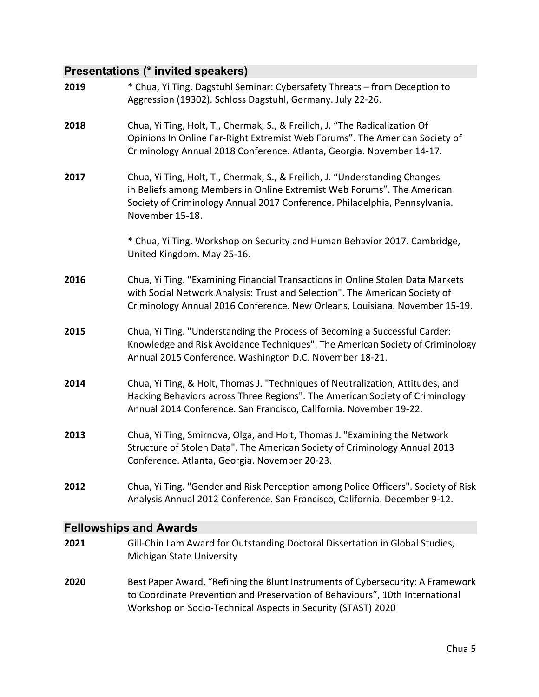# **Presentations (\* invited speakers)**

| 2019        | * Chua, Yi Ting. Dagstuhl Seminar: Cybersafety Threats - from Deception to<br>Aggression (19302). Schloss Dagstuhl, Germany. July 22-26.                                                                                                               |
|-------------|--------------------------------------------------------------------------------------------------------------------------------------------------------------------------------------------------------------------------------------------------------|
| 2018        | Chua, Yi Ting, Holt, T., Chermak, S., & Freilich, J. "The Radicalization Of<br>Opinions In Online Far-Right Extremist Web Forums". The American Society of<br>Criminology Annual 2018 Conference. Atlanta, Georgia. November 14-17.                    |
| 2017        | Chua, Yi Ting, Holt, T., Chermak, S., & Freilich, J. "Understanding Changes<br>in Beliefs among Members in Online Extremist Web Forums". The American<br>Society of Criminology Annual 2017 Conference. Philadelphia, Pennsylvania.<br>November 15-18. |
|             | * Chua, Yi Ting. Workshop on Security and Human Behavior 2017. Cambridge,<br>United Kingdom. May 25-16.                                                                                                                                                |
| 2016        | Chua, Yi Ting. "Examining Financial Transactions in Online Stolen Data Markets<br>with Social Network Analysis: Trust and Selection". The American Society of<br>Criminology Annual 2016 Conference. New Orleans, Louisiana. November 15-19.           |
| 2015        | Chua, Yi Ting. "Understanding the Process of Becoming a Successful Carder:<br>Knowledge and Risk Avoidance Techniques". The American Society of Criminology<br>Annual 2015 Conference. Washington D.C. November 18-21.                                 |
| 2014        | Chua, Yi Ting, & Holt, Thomas J. "Techniques of Neutralization, Attitudes, and<br>Hacking Behaviors across Three Regions". The American Society of Criminology<br>Annual 2014 Conference. San Francisco, California. November 19-22.                   |
| 2013        | Chua, Yi Ting, Smirnova, Olga, and Holt, Thomas J. "Examining the Network<br>Structure of Stolen Data". The American Society of Criminology Annual 2013<br>Conference. Atlanta, Georgia. November 20-23.                                               |
| 2012        | Chua, Yi Ting. "Gender and Risk Perception among Police Officers". Society of Risk<br>Analysis Annual 2012 Conference. San Francisco, California. December 9-12.                                                                                       |
| <b>C.U.</b> | $-1$ <b>A</b> $-$                                                                                                                                                                                                                                      |

#### **Fellowships and Awards**

| 2021 | Gill-Chin Lam Award for Outstanding Doctoral Dissertation in Global Studies,<br>Michigan State University                                                       |
|------|-----------------------------------------------------------------------------------------------------------------------------------------------------------------|
| 2020 | Best Paper Award, "Refining the Blunt Instruments of Cybersecurity: A Framework<br>to Coordinate Prevention and Preservation of Behaviours", 10th International |
|      | Workshop on Socio-Technical Aspects in Security (STAST) 2020                                                                                                    |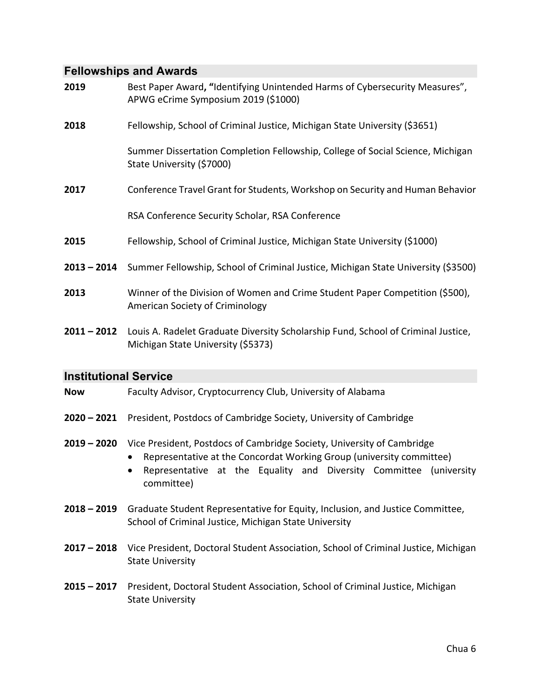## **Fellowships and Awards**

| 2019                         | Best Paper Award, "Identifying Unintended Harms of Cybersecurity Measures",<br>APWG eCrime Symposium 2019 (\$1000)                                                                                                                 |  |  |
|------------------------------|------------------------------------------------------------------------------------------------------------------------------------------------------------------------------------------------------------------------------------|--|--|
| 2018                         | Fellowship, School of Criminal Justice, Michigan State University (\$3651)                                                                                                                                                         |  |  |
|                              | Summer Dissertation Completion Fellowship, College of Social Science, Michigan<br>State University (\$7000)                                                                                                                        |  |  |
| 2017                         | Conference Travel Grant for Students, Workshop on Security and Human Behavior                                                                                                                                                      |  |  |
|                              | RSA Conference Security Scholar, RSA Conference                                                                                                                                                                                    |  |  |
| 2015                         | Fellowship, School of Criminal Justice, Michigan State University (\$1000)                                                                                                                                                         |  |  |
| $2013 - 2014$                | Summer Fellowship, School of Criminal Justice, Michigan State University (\$3500)                                                                                                                                                  |  |  |
| 2013                         | Winner of the Division of Women and Crime Student Paper Competition (\$500),<br><b>American Society of Criminology</b>                                                                                                             |  |  |
| $2011 - 2012$                | Louis A. Radelet Graduate Diversity Scholarship Fund, School of Criminal Justice,<br>Michigan State University (\$5373)                                                                                                            |  |  |
| <b>Institutional Service</b> |                                                                                                                                                                                                                                    |  |  |
| <b>Now</b>                   | Faculty Advisor, Cryptocurrency Club, University of Alabama                                                                                                                                                                        |  |  |
| $2020 - 2021$                | President, Postdocs of Cambridge Society, University of Cambridge                                                                                                                                                                  |  |  |
| $2019 - 2020$                | Vice President, Postdocs of Cambridge Society, University of Cambridge<br>Representative at the Concordat Working Group (university committee)<br>Representative at the Equality and Diversity Committee (university<br>committee) |  |  |
| $2018 - 2019$                | Graduate Student Representative for Equity, Inclusion, and Justice Committee,<br>School of Criminal Justice, Michigan State University                                                                                             |  |  |
| $2017 - 2018$                | Vice President, Doctoral Student Association, School of Criminal Justice, Michigan<br><b>State University</b>                                                                                                                      |  |  |
|                              | 2015 - 2017 President, Doctoral Student Association, School of Criminal Justice, Michigan                                                                                                                                          |  |  |

**2015 – 2017** President, Doctoral Student Association, School of Criminal Justice, Michigan State University